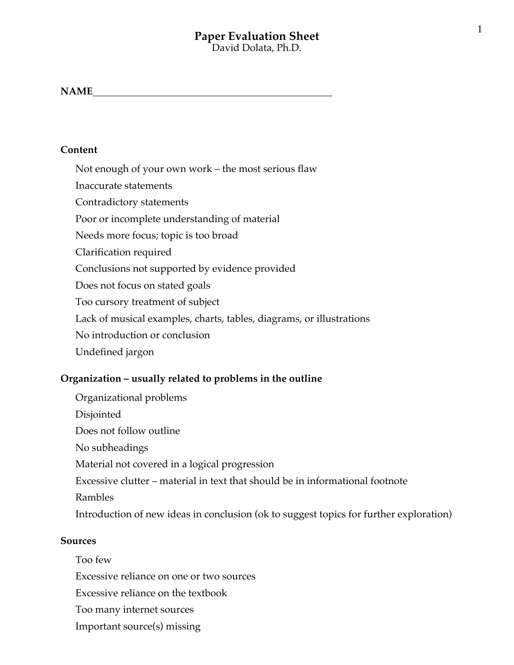### **Paper Evaluation Sheet** David Dolata, Ph.D.

#### **Content**

- Not enough of your own work the most serious flaw
- Inaccurate statements
- Contradictory statements
- Poor or incomplete understanding of material
- Needs more focus; topic is too broad
- Clarification required
- Conclusions not supported by evidence provided
- Does not focus on stated goals
- Too cursory treatment of subject
- Lack of musical examples, charts, tables, diagrams, or illustrations
- No introduction or conclusion
- Undefined jargon

#### **Organization – usually related to problems in the outline**

- Organizational problems
- Disjointed
- Does not follow outline
- No subheadings
- Material not covered in a logical progression
- Excessive clutter material in text that should be in informational footnote
- Rambles
- Introduction of new ideas in conclusion (ok to suggest topics for further exploration)

#### **Sources**

- Too few
- Excessive reliance on one or two sources
- Excessive reliance on the textbook
- Too many internet sources
- Important source(s) missing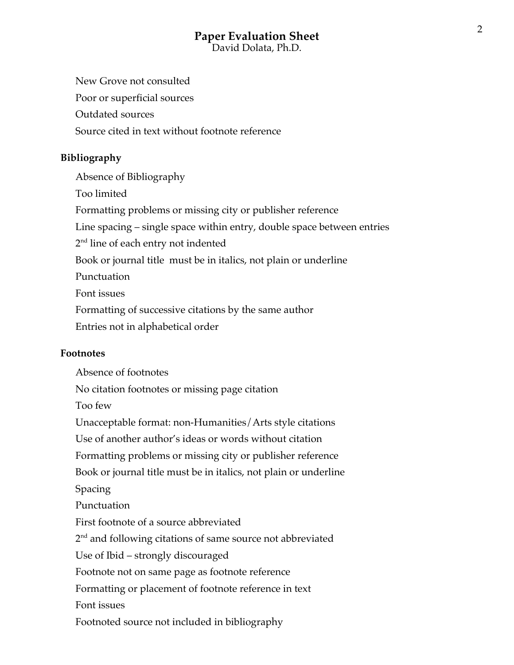David Dolata, Ph.D.

New Grove not consulted

Poor or superficial sources

Outdated sources

Source cited in text without footnote reference

### **Bibliography**

Absence of Bibliography

Too limited

Formatting problems or missing city or publisher reference

Line spacing – single space within entry, double space between entries

2<sup>nd</sup> line of each entry not indented

Book or journal title must be in italics, not plain or underline

Punctuation

Font issues

Formatting of successive citations by the same author

Entries not in alphabetical order

### **Footnotes**

Absence of footnotes

No citation footnotes or missing page citation

Too few

Unacceptable format: non-Humanities/Arts style citations

Use of another author's ideas or words without citation

Formatting problems or missing city or publisher reference

Book or journal title must be in italics, not plain or underline

Spacing

Punctuation

First footnote of a source abbreviated

2<sup>nd</sup> and following citations of same source not abbreviated

Use of Ibid – strongly discouraged

Footnote not on same page as footnote reference

Formatting or placement of footnote reference in text

Font issues

Footnoted source not included in bibliography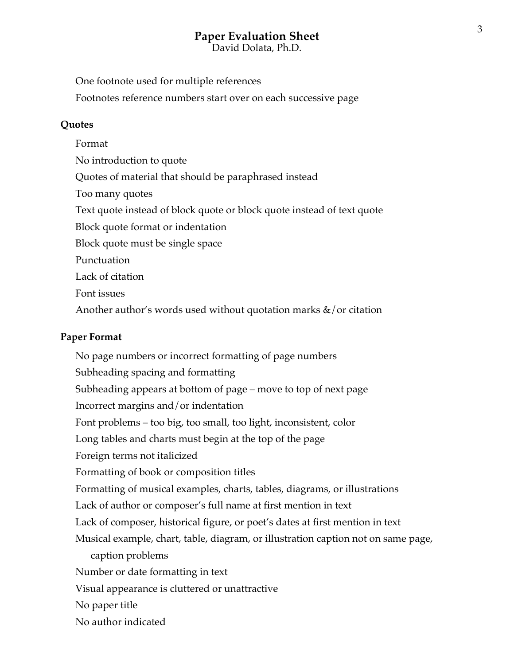David Dolata, Ph.D.

One footnote used for multiple references

Footnotes reference numbers start over on each successive page

#### **Quotes**

Format No introduction to quote Quotes of material that should be paraphrased instead Too many quotes Text quote instead of block quote or block quote instead of text quote Block quote format or indentation Block quote must be single space Punctuation Lack of citation Font issues Another author's words used without quotation marks  $\&$  / or citation

#### **Paper Format**

No page numbers or incorrect formatting of page numbers Subheading spacing and formatting Subheading appears at bottom of page – move to top of next page Incorrect margins and/or indentation Font problems – too big, too small, too light, inconsistent, color Long tables and charts must begin at the top of the page Foreign terms not italicized Formatting of book or composition titles Formatting of musical examples, charts, tables, diagrams, or illustrations Lack of author or composer's full name at first mention in text Lack of composer, historical figure, or poet's dates at first mention in text Musical example, chart, table, diagram, or illustration caption not on same page, caption problems Number or date formatting in text Visual appearance is cluttered or unattractive No paper title No author indicated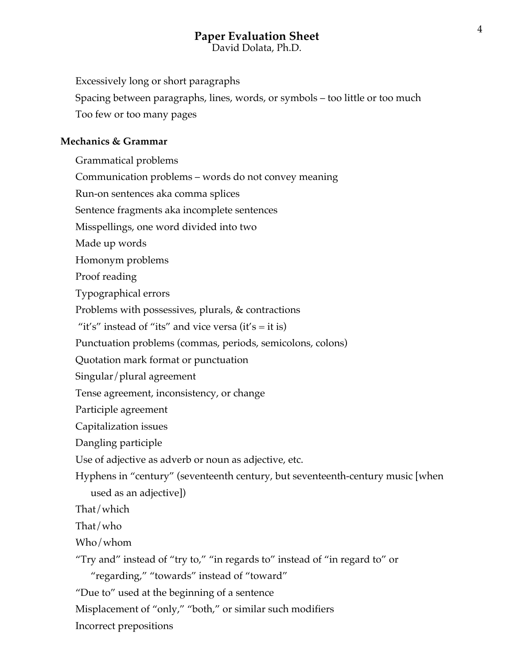David Dolata, Ph.D.

Excessively long or short paragraphs

Spacing between paragraphs, lines, words, or symbols – too little or too much Too few or too many pages

### **Mechanics & Grammar**

Grammatical problems Communication problems – words do not convey meaning Run-on sentences aka comma splices Sentence fragments aka incomplete sentences Misspellings, one word divided into two Made up words Homonym problems Proof reading Typographical errors Problems with possessives, plurals, & contractions "it's" instead of "its" and vice versa (it's  $=$  it is) Punctuation problems (commas, periods, semicolons, colons) Quotation mark format or punctuation Singular/plural agreement Tense agreement, inconsistency, or change Participle agreement Capitalization issues Dangling participle Use of adjective as adverb or noun as adjective, etc. Hyphens in "century" (seventeenth century, but seventeenth-century music [when used as an adjective]) That/which That/who Who/whom "Try and" instead of "try to," "in regards to" instead of "in regard to" or "regarding," "towards" instead of "toward" "Due to" used at the beginning of a sentence Misplacement of "only," "both," or similar such modifiers Incorrect prepositions